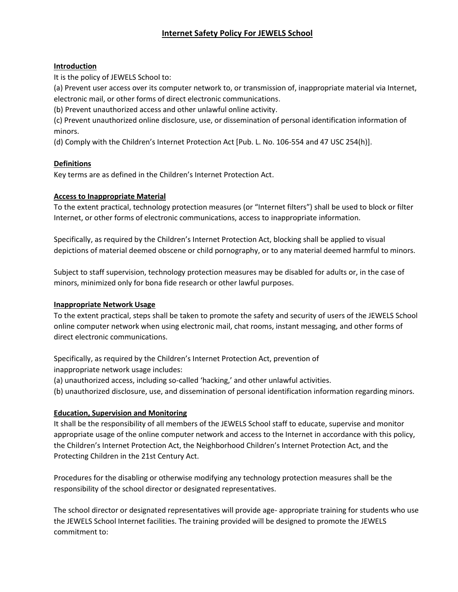# **Internet Safety Policy For JEWELS School**

## **Introduction**

It is the policy of JEWELS School to:

(a) Prevent user access over its computer network to, or transmission of, inappropriate material via Internet, electronic mail, or other forms of direct electronic communications.

(b) Prevent unauthorized access and other unlawful online activity.

(c) Prevent unauthorized online disclosure, use, or dissemination of personal identification information of minors.

(d) Comply with the Children's Internet Protection Act [Pub. L. No. 106-554 and 47 USC 254(h)].

## **Definitions**

Key terms are as defined in the Children's Internet Protection Act.

## **Access to Inappropriate Material**

To the extent practical, technology protection measures (or "Internet filters") shall be used to block or filter Internet, or other forms of electronic communications, access to inappropriate information.

Specifically, as required by the Children's Internet Protection Act, blocking shall be applied to visual depictions of material deemed obscene or child pornography, or to any material deemed harmful to minors.

Subject to staff supervision, technology protection measures may be disabled for adults or, in the case of minors, minimized only for bona fide research or other lawful purposes.

#### **Inappropriate Network Usage**

To the extent practical, steps shall be taken to promote the safety and security of users of the JEWELS School online computer network when using electronic mail, chat rooms, instant messaging, and other forms of direct electronic communications.

Specifically, as required by the Children's Internet Protection Act, prevention of inappropriate network usage includes:

(a) unauthorized access, including so-called 'hacking,' and other unlawful activities.

(b) unauthorized disclosure, use, and dissemination of personal identification information regarding minors.

#### **Education, Supervision and Monitoring**

It shall be the responsibility of all members of the JEWELS School staff to educate, supervise and monitor appropriate usage of the online computer network and access to the Internet in accordance with this policy, the Children's Internet Protection Act, the Neighborhood Children's Internet Protection Act, and the Protecting Children in the 21st Century Act.

Procedures for the disabling or otherwise modifying any technology protection measures shall be the responsibility of the school director or designated representatives.

The school director or designated representatives will provide age- appropriate training for students who use the JEWELS School Internet facilities. The training provided will be designed to promote the JEWELS commitment to: